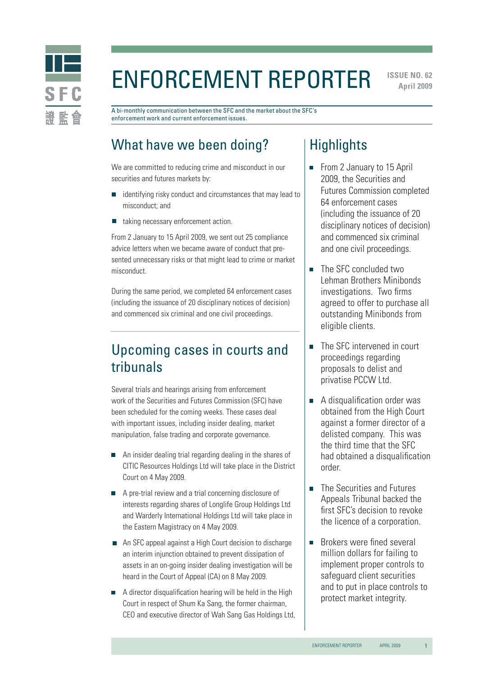

# Enforcement Reporter

**ISSUE NO. 62 April 2009** 

A bi-monthly communication between the SFC and the market about the SFC's enforcement work and current enforcement issues.

### What have we been doing?

We are committed to reducing crime and misconduct in our securities and futures markets by:

- identifying risky conduct and circumstances that may lead to misconduct; and
- taking necessary enforcement action.  $\Box$

From 2 January to 15 April 2009, we sent out 25 compliance advice letters when we became aware of conduct that presented unnecessary risks or that might lead to crime or market misconduct.

During the same period, we completed 64 enforcement cases (including the issuance of 20 disciplinary notices of decision) and commenced six criminal and one civil proceedings.

### Upcoming cases in courts and tribunals

Several trials and hearings arising from enforcement work of the Securities and Futures Commission (SFC) have been scheduled for the coming weeks. These cases deal with important issues, including insider dealing, market manipulation, false trading and corporate governance.

- An insider dealing trial regarding dealing in the shares of CITIC Resources Holdings Ltd will take place in the District Court on 4 May 2009.
- A pre-trial review and a trial concerning disclosure of interests regarding shares of Longlife Group Holdings Ltd and Warderly International Holdings Ltd will take place in the Eastern Magistracy on 4 May 2009.
- An SFC appeal against a High Court decision to discharge an interim injunction obtained to prevent dissipation of assets in an on-going insider dealing investigation will be heard in the Court of Appeal (CA) on 8 May 2009.
- A director disqualification hearing will be held in the High Court in respect of Shum Ka Sang, the former chairman, CEO and executive director of Wah Sang Gas Holdings Ltd,

### **Highlights**

- From 2 January to 15 April 2009, the Securities and Futures Commission completed 64 enforcement cases (including the issuance of 20 disciplinary notices of decision) and commenced six criminal and one civil proceedings.
- The SFC concluded two Lehman Brothers Minibonds investigations. Two firms agreed to offer to purchase all outstanding Minibonds from eligible clients.
- The SFC intervened in court proceedings regarding proposals to delist and privatise PCCW Ltd.
- A disqualification order was obtained from the High Court against a former director of a delisted company. This was the third time that the SFC had obtained a disqualification order.
- The Securities and Futures  $\blacksquare$ Appeals Tribunal backed the first SFC's decision to revoke the licence of a corporation.
- Brokers were fined several  $\overline{\mathbf{u}}$ million dollars for failing to implement proper controls to safeguard client securities and to put in place controls to protect market integrity.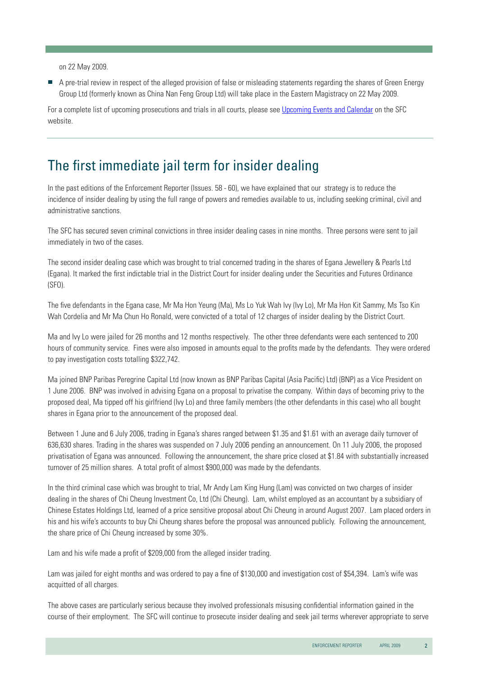on 22 May 2009.

A pre-trial review in respect of the alleged provision of false or misleading statements regarding the shares of Green Energy Group Ltd (formerly known as China Nan Feng Group Ltd) will take place in the Eastern Magistracy on 22 May 2009.

For a complete list of upcoming prosecutions and trials in all courts, please see [Upcoming Events and Calendar](http://www.sfc.hk/sfc/html/EN/events/events.html) on the SFC website.

#### The first immediate jail term for insider dealing

In the past editions of the Enforcement Reporter (Issues. 58 - 60), we have explained that our strategy is to reduce the incidence of insider dealing by using the full range of powers and remedies available to us, including seeking criminal, civil and administrative sanctions.

The SFC has secured seven criminal convictions in three insider dealing cases in nine months. Three persons were sent to jail immediately in two of the cases.

The second insider dealing case which was brought to trial concerned trading in the shares of Egana Jewellery & Pearls Ltd (Egana). It marked the first indictable trial in the District Court for insider dealing under the Securities and Futures Ordinance (SFO).

The five defendants in the Egana case, Mr Ma Hon Yeung (Ma), Ms Lo Yuk Wah Ivy (Ivy Lo), Mr Ma Hon Kit Sammy, Ms Tso Kin Wah Cordelia and Mr Ma Chun Ho Ronald, were convicted of a total of 12 charges of insider dealing by the District Court.

Ma and Ivy Lo were jailed for 26 months and 12 months respectively. The other three defendants were each sentenced to 200 hours of community service. Fines were also imposed in amounts equal to the profits made by the defendants. They were ordered to pay investigation costs totalling \$322,742.

Ma joined BNP Paribas Peregrine Capital Ltd (now known as BNP Paribas Capital (Asia Pacific) Ltd) (BNP) as a Vice President on 1 June 2006. BNP was involved in advising Egana on a proposal to privatise the company. Within days of becoming privy to the proposed deal, Ma tipped off his girlfriend (Ivy Lo) and three family members (the other defendants in this case) who all bought shares in Egana prior to the announcement of the proposed deal.

Between 1 June and 6 July 2006, trading in Egana's shares ranged between \$1.35 and \$1.61 with an average daily turnover of 636,630 shares. Trading in the shares was suspended on 7 July 2006 pending an announcement. On 11 July 2006, the proposed privatisation of Egana was announced. Following the announcement, the share price closed at \$1.84 with substantially increased turnover of 25 million shares. A total profit of almost \$900,000 was made by the defendants.

In the third criminal case which was brought to trial, Mr Andy Lam King Hung (Lam) was convicted on two charges of insider dealing in the shares of Chi Cheung Investment Co, Ltd (Chi Cheung). Lam, whilst employed as an accountant by a subsidiary of Chinese Estates Holdings Ltd, learned of a price sensitive proposal about Chi Cheung in around August 2007. Lam placed orders in his and his wife's accounts to buy Chi Cheung shares before the proposal was announced publicly. Following the announcement, the share price of Chi Cheung increased by some 30%.

Lam and his wife made a profit of \$209,000 from the alleged insider trading.

Lam was jailed for eight months and was ordered to pay a fine of \$130,000 and investigation cost of \$54,394. Lam's wife was acquitted of all charges.

The above cases are particularly serious because they involved professionals misusing confidential information gained in the course of their employment. The SFC will continue to prosecute insider dealing and seek jail terms wherever appropriate to serve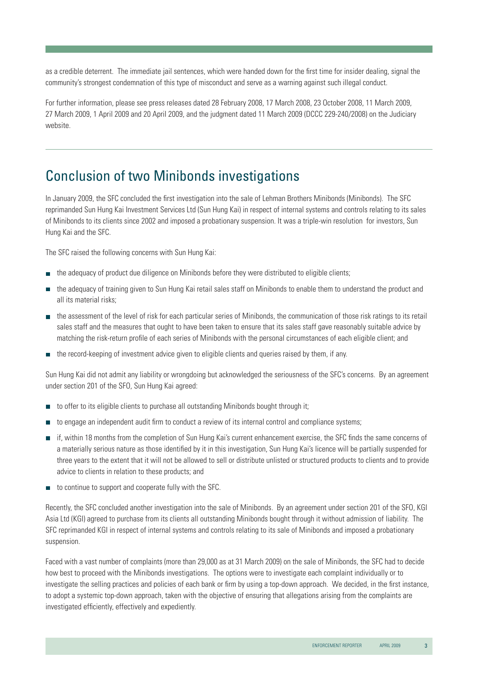as a credible deterrent. The immediate jail sentences, which were handed down for the first time for insider dealing, signal the community's strongest condemnation of this type of misconduct and serve as a warning against such illegal conduct.

For further information, please see press releases dated 28 February 2008, 17 March 2008, 23 October 2008, 11 March 2009, 27 March 2009, 1 April 2009 and 20 April 2009, and the judgment dated 11 March 2009 (DCCC 229-240/2008) on the Judiciary website.

#### Conclusion of two Minibonds investigations

In January 2009, the SFC concluded the first investigation into the sale of Lehman Brothers Minibonds (Minibonds). The SFC reprimanded Sun Hung Kai Investment Services Ltd (Sun Hung Kai) in respect of internal systems and controls relating to its sales of Minibonds to its clients since 2002 and imposed a probationary suspension. It was a triple-win resolution for investors, Sun Hung Kai and the SFC.

The SFC raised the following concerns with Sun Hung Kai:

- the adequacy of product due diligence on Minibonds before they were distributed to eligible clients;
- the adequacy of training given to Sun Hung Kai retail sales staff on Minibonds to enable them to understand the product and  $\overline{\phantom{a}}$ all its material risks;
- the assessment of the level of risk for each particular series of Minibonds, the communication of those risk ratings to its retail sales staff and the measures that ought to have been taken to ensure that its sales staff gave reasonably suitable advice by matching the risk-return profile of each series of Minibonds with the personal circumstances of each eligible client; and
- the record-keeping of investment advice given to eligible clients and queries raised by them, if any.

Sun Hung Kai did not admit any liability or wrongdoing but acknowledged the seriousness of the SFC's concerns. By an agreement under section 201 of the SFO, Sun Hung Kai agreed:

- to offer to its eligible clients to purchase all outstanding Minibonds bought through it;  $\overline{\phantom{a}}$
- to engage an independent audit firm to conduct a review of its internal control and compliance systems;  $\mathcal{L}_{\mathcal{A}}$
- if, within 18 months from the completion of Sun Hung Kai's current enhancement exercise, the SFC finds the same concerns of a materially serious nature as those identified by it in this investigation, Sun Hung Kai's licence will be partially suspended for three years to the extent that it will not be allowed to sell or distribute unlisted or structured products to clients and to provide advice to clients in relation to these products; and
- to continue to support and cooperate fully with the SFC.

Recently, the SFC concluded another investigation into the sale of Minibonds. By an agreement under section 201 of the SFO, KGI Asia Ltd (KGI) agreed to purchase from its clients all outstanding Minibonds bought through it without admission of liability. The SFC reprimanded KGI in respect of internal systems and controls relating to its sale of Minibonds and imposed a probationary suspension.

Faced with a vast number of complaints (more than 29,000 as at 31 March 2009) on the sale of Minibonds, the SFC had to decide how best to proceed with the Minibonds investigations. The options were to investigate each complaint individually or to investigate the selling practices and policies of each bank or firm by using a top-down approach. We decided, in the first instance, to adopt a systemic top-down approach, taken with the objective of ensuring that allegations arising from the complaints are investigated efficiently, effectively and expediently.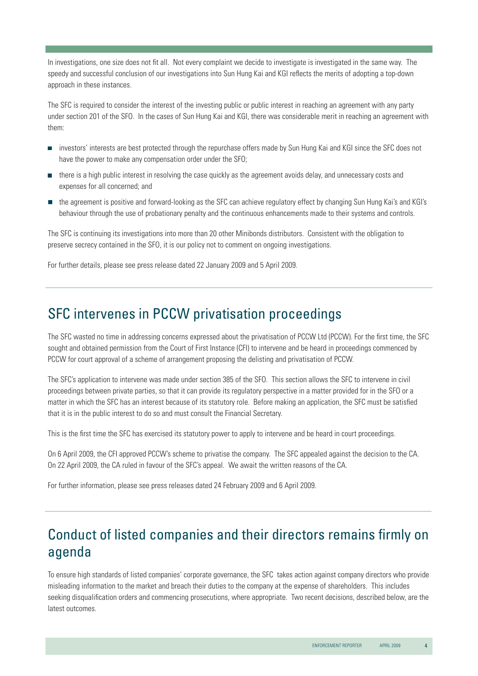In investigations, one size does not fit all. Not every complaint we decide to investigate is investigated in the same way. The speedy and successful conclusion of our investigations into Sun Hung Kai and KGI reflects the merits of adopting a top-down approach in these instances.

The SFC is required to consider the interest of the investing public or public interest in reaching an agreement with any party under section 201 of the SFO. In the cases of Sun Hung Kai and KGI, there was considerable merit in reaching an agreement with them:

- investors' interests are best protected through the repurchase offers made by Sun Hung Kai and KGI since the SFC does not  $\overline{\phantom{a}}$ have the power to make any compensation order under the SFO;
- there is a high public interest in resolving the case quickly as the agreement avoids delay, and unnecessary costs and  $\overline{\phantom{a}}$ expenses for all concerned; and
- the agreement is positive and forward-looking as the SFC can achieve regulatory effect by changing Sun Hung Kai's and KGI's behaviour through the use of probationary penalty and the continuous enhancements made to their systems and controls.

The SFC is continuing its investigations into more than 20 other Minibonds distributors. Consistent with the obligation to preserve secrecy contained in the SFO, it is our policy not to comment on ongoing investigations.

For further details, please see press release dated 22 January 2009 and 5 April 2009.

#### SFC intervenes in PCCW privatisation proceedings

The SFC wasted no time in addressing concerns expressed about the privatisation of PCCW Ltd (PCCW). For the first time, the SFC sought and obtained permission from the Court of First Instance (CFI) to intervene and be heard in proceedings commenced by PCCW for court approval of a scheme of arrangement proposing the delisting and privatisation of PCCW.

The SFC's application to intervene was made under section 385 of the SFO. This section allows the SFC to intervene in civil proceedings between private parties, so that it can provide its regulatory perspective in a matter provided for in the SFO or a matter in which the SFC has an interest because of its statutory role. Before making an application, the SFC must be satisfied that it is in the public interest to do so and must consult the Financial Secretary.

This is the first time the SFC has exercised its statutory power to apply to intervene and be heard in court proceedings.

On 6 April 2009, the CFI approved PCCW's scheme to privatise the company. The SFC appealed against the decision to the CA. On 22 April 2009, the CA ruled in favour of the SFC's appeal. We await the written reasons of the CA.

For further information, please see press releases dated 24 February 2009 and 6 April 2009.

# Conduct of listed companies and their directors remains firmly on agenda

To ensure high standards of listed companies' corporate governance, the SFC takes action against company directors who provide misleading information to the market and breach their duties to the company at the expense of shareholders. This includes seeking disqualification orders and commencing prosecutions, where appropriate. Two recent decisions, described below, are the latest outcomes.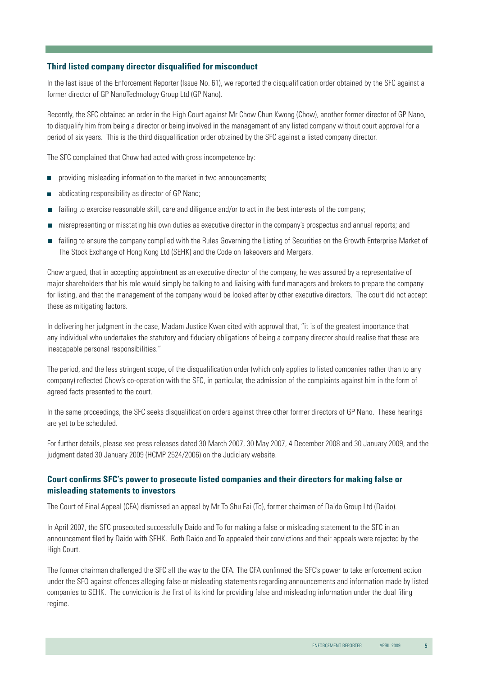#### **Third listed company director disqualified for misconduct**

In the last issue of the Enforcement Reporter (Issue No. 61), we reported the disqualification order obtained by the SFC against a former director of GP NanoTechnology Group Ltd (GP Nano).

Recently, the SFC obtained an order in the High Court against Mr Chow Chun Kwong (Chow), another former director of GP Nano, to disqualify him from being a director or being involved in the management of any listed company without court approval for a period of six years. This is the third disqualification order obtained by the SFC against a listed company director.

The SFC complained that Chow had acted with gross incompetence by:

- providing misleading information to the market in two announcements;  $\mathcal{L}_{\mathcal{A}}$
- abdicating responsibility as director of GP Nano;  $\overline{\phantom{a}}$
- П failing to exercise reasonable skill, care and diligence and/or to act in the best interests of the company;
- misrepresenting or misstating his own duties as executive director in the company's prospectus and annual reports; and П
- failing to ensure the company complied with the Rules Governing the Listing of Securities on the Growth Enterprise Market of The Stock Exchange of Hong Kong Ltd (SEHK) and the Code on Takeovers and Mergers.

Chow argued, that in accepting appointment as an executive director of the company, he was assured by a representative of major shareholders that his role would simply be talking to and liaising with fund managers and brokers to prepare the company for listing, and that the management of the company would be looked after by other executive directors. The court did not accept these as mitigating factors.

In delivering her judgment in the case, Madam Justice Kwan cited with approval that, "it is of the greatest importance that any individual who undertakes the statutory and fiduciary obligations of being a company director should realise that these are inescapable personal responsibilities."

The period, and the less stringent scope, of the disqualification order (which only applies to listed companies rather than to any company) reflected Chow's co-operation with the SFC, in particular, the admission of the complaints against him in the form of agreed facts presented to the court.

In the same proceedings, the SFC seeks disqualification orders against three other former directors of GP Nano. These hearings are yet to be scheduled.

For further details, please see press releases dated 30 March 2007, 30 May 2007, 4 December 2008 and 30 January 2009, and the judgment dated 30 January 2009 (HCMP 2524/2006) on the Judiciary website.

#### **Court confirms SFC's power to prosecute listed companies and their directors for making false or misleading statements to investors**

The Court of Final Appeal (CFA) dismissed an appeal by Mr To Shu Fai (To), former chairman of Daido Group Ltd (Daido).

In April 2007, the SFC prosecuted successfully Daido and To for making a false or misleading statement to the SFC in an announcement filed by Daido with SEHK. Both Daido and To appealed their convictions and their appeals were rejected by the High Court.

The former chairman challenged the SFC all the way to the CFA. The CFA confirmed the SFC's power to take enforcement action under the SFO against offences alleging false or misleading statements regarding announcements and information made by listed companies to SEHK. The conviction is the first of its kind for providing false and misleading information under the dual filing regime.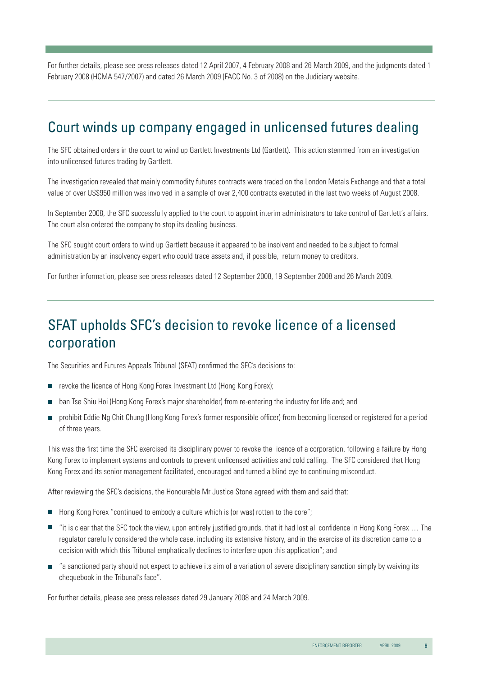For further details, please see press releases dated 12 April 2007, 4 February 2008 and 26 March 2009, and the judgments dated 1 February 2008 (HCMA 547/2007) and dated 26 March 2009 (FACC No. 3 of 2008) on the Judiciary website.

## Court winds up company engaged in unlicensed futures dealing

The SFC obtained orders in the court to wind up Gartlett Investments Ltd (Gartlett). This action stemmed from an investigation into unlicensed futures trading by Gartlett.

The investigation revealed that mainly commodity futures contracts were traded on the London Metals Exchange and that a total value of over US\$950 million was involved in a sample of over 2,400 contracts executed in the last two weeks of August 2008.

In September 2008, the SFC successfully applied to the court to appoint interim administrators to take control of Gartlett's affairs. The court also ordered the company to stop its dealing business.

The SFC sought court orders to wind up Gartlett because it appeared to be insolvent and needed to be subject to formal administration by an insolvency expert who could trace assets and, if possible, return money to creditors.

For further information, please see press releases dated 12 September 2008, 19 September 2008 and 26 March 2009.

# SFAT upholds SFC's decision to revoke licence of a licensed corporation

The Securities and Futures Appeals Tribunal (SFAT) confirmed the SFC's decisions to:

- revoke the licence of Hong Kong Forex Investment Ltd (Hong Kong Forex);  $\Box$
- ban Tse Shiu Hoi (Hong Kong Forex's major shareholder) from re-entering the industry for life and; and
- prohibit Eddie Ng Chit Chung (Hong Kong Forex's former responsible officer) from becoming licensed or registered for a period Ē. of three years.

This was the first time the SFC exercised its disciplinary power to revoke the licence of a corporation, following a failure by Hong Kong Forex to implement systems and controls to prevent unlicensed activities and cold calling. The SFC considered that Hong Kong Forex and its senior management facilitated, encouraged and turned a blind eye to continuing misconduct.

After reviewing the SFC's decisions, the Honourable Mr Justice Stone agreed with them and said that:

- $\blacksquare$  Hong Kong Forex "continued to embody a culture which is (or was) rotten to the core";
- "it is clear that the SFC took the view, upon entirely justified grounds, that it had lost all confidence in Hong Kong Forex … The regulator carefully considered the whole case, including its extensive history, and in the exercise of its discretion came to a decision with which this Tribunal emphatically declines to interfere upon this application"; and
- "a sanctioned party should not expect to achieve its aim of a variation of severe disciplinary sanction simply by waiving its chequebook in the Tribunal's face".

For further details, please see press releases dated 29 January 2008 and 24 March 2009.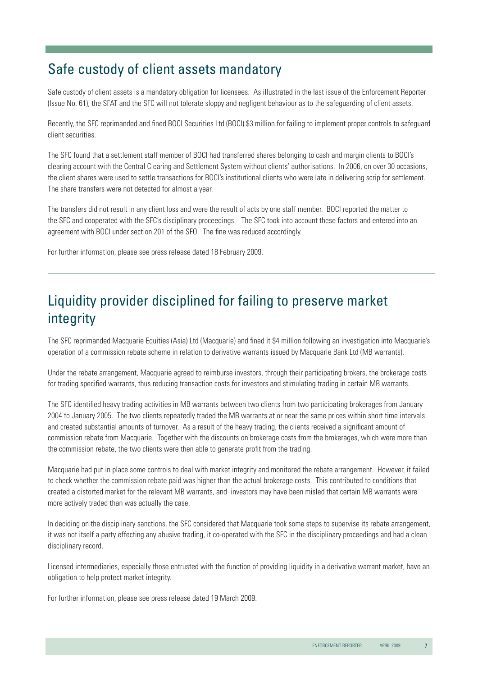# Safe custody of client assets mandatory

Safe custody of client assets is a mandatory obligation for licensees. As illustrated in the last issue of the Enforcement Reporter (Issue No. 61), the SFAT and the SFC will not tolerate sloppy and negligent behaviour as to the safeguarding of client assets.

Recently, the SFC reprimanded and fined BOCI Securities Ltd (BOCI) \$3 million for failing to implement proper controls to safeguard client securities.

The SFC found that a settlement staff member of BOCI had transferred shares belonging to cash and margin clients to BOCI's clearing account with the Central Clearing and Settlement System without clients' authorisations. In 2006, on over 30 occasions, the client shares were used to settle transactions for BOCI's institutional clients who were late in delivering scrip for settlement. The share transfers were not detected for almost a year.

The transfers did not result in any client loss and were the result of acts by one staff member. BOCI reported the matter to the SFC and cooperated with the SFC's disciplinary proceedings. The SFC took into account these factors and entered into an agreement with BOCI under section 201 of the SFO. The fine was reduced accordingly.

For further information, please see press release dated 18 February 2009.

# Liquidity provider disciplined for failing to preserve market integrity

The SFC reprimanded Macquarie Equities (Asia) Ltd (Macquarie) and fined it \$4 million following an investigation into Macquarie's operation of a commission rebate scheme in relation to derivative warrants issued by Macquarie Bank Ltd (MB warrants).

Under the rebate arrangement, Macquarie agreed to reimburse investors, through their participating brokers, the brokerage costs for trading specified warrants, thus reducing transaction costs for investors and stimulating trading in certain MB warrants.

The SFC identified heavy trading activities in MB warrants between two clients from two participating brokerages from January 2004 to January 2005. The two clients repeatedly traded the MB warrants at or near the same prices within short time intervals and created substantial amounts of turnover. As a result of the heavy trading, the clients received a significant amount of commission rebate from Macquarie. Together with the discounts on brokerage costs from the brokerages, which were more than the commission rebate, the two clients were then able to generate profit from the trading.

Macquarie had put in place some controls to deal with market integrity and monitored the rebate arrangement. However, it failed to check whether the commission rebate paid was higher than the actual brokerage costs. This contributed to conditions that created a distorted market for the relevant MB warrants, and investors may have been misled that certain MB warrants were more actively traded than was actually the case.

In deciding on the disciplinary sanctions, the SFC considered that Macquarie took some steps to supervise its rebate arrangement, it was not itself a party effecting any abusive trading, it co-operated with the SFC in the disciplinary proceedings and had a clean disciplinary record.

Licensed intermediaries, especially those entrusted with the function of providing liquidity in a derivative warrant market, have an obligation to help protect market integrity.

For further information, please see press release dated 19 March 2009.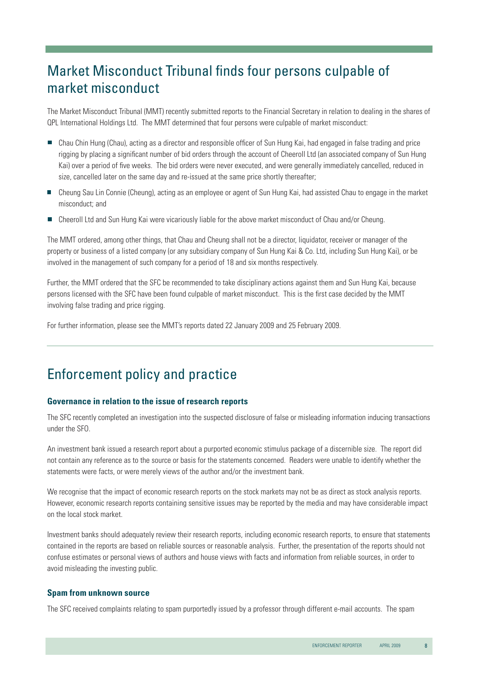# Market Misconduct Tribunal finds four persons culpable of market misconduct

The Market Misconduct Tribunal (MMT) recently submitted reports to the Financial Secretary in relation to dealing in the shares of QPL International Holdings Ltd. The MMT determined that four persons were culpable of market misconduct:

- Chau Chin Hung (Chau), acting as a director and responsible officer of Sun Hung Kai, had engaged in false trading and price rigging by placing a significant number of bid orders through the account of Cheeroll Ltd (an associated company of Sun Hung Kai) over a period of five weeks. The bid orders were never executed, and were generally immediately cancelled, reduced in size, cancelled later on the same day and re-issued at the same price shortly thereafter;
- Cheung Sau Lin Connie (Cheung), acting as an employee or agent of Sun Hung Kai, had assisted Chau to engage in the market misconduct; and
- Cheeroll Ltd and Sun Hung Kai were vicariously liable for the above market misconduct of Chau and/or Cheung. П

The MMT ordered, among other things, that Chau and Cheung shall not be a director, liquidator, receiver or manager of the property or business of a listed company (or any subsidiary company of Sun Hung Kai & Co. Ltd, including Sun Hung Kai), or be involved in the management of such company for a period of 18 and six months respectively.

Further, the MMT ordered that the SFC be recommended to take disciplinary actions against them and Sun Hung Kai, because persons licensed with the SFC have been found culpable of market misconduct. This is the first case decided by the MMT involving false trading and price rigging.

For further information, please see the MMT's reports dated 22 January 2009 and 25 February 2009.

#### Enforcement policy and practice

#### **Governance in relation to the issue of research reports**

The SFC recently completed an investigation into the suspected disclosure of false or misleading information inducing transactions under the SFO.

An investment bank issued a research report about a purported economic stimulus package of a discernible size. The report did not contain any reference as to the source or basis for the statements concerned. Readers were unable to identify whether the statements were facts, or were merely views of the author and/or the investment bank.

We recognise that the impact of economic research reports on the stock markets may not be as direct as stock analysis reports. However, economic research reports containing sensitive issues may be reported by the media and may have considerable impact on the local stock market.

Investment banks should adequately review their research reports, including economic research reports, to ensure that statements contained in the reports are based on reliable sources or reasonable analysis. Further, the presentation of the reports should not confuse estimates or personal views of authors and house views with facts and information from reliable sources, in order to avoid misleading the investing public.

#### **Spam from unknown source**

The SFC received complaints relating to spam purportedly issued by a professor through different e-mail accounts. The spam